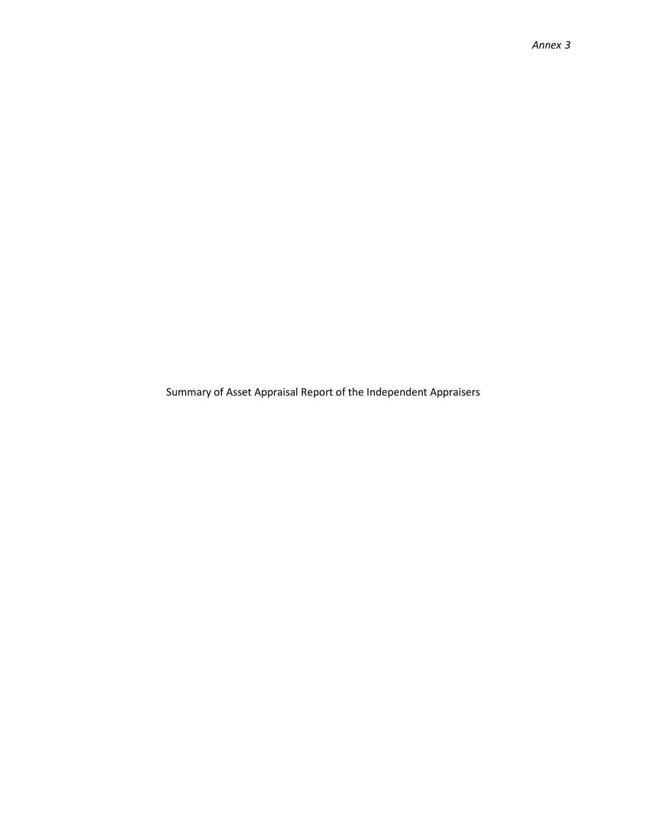Summary of Asset Appraisal Report of the Independent Appraisers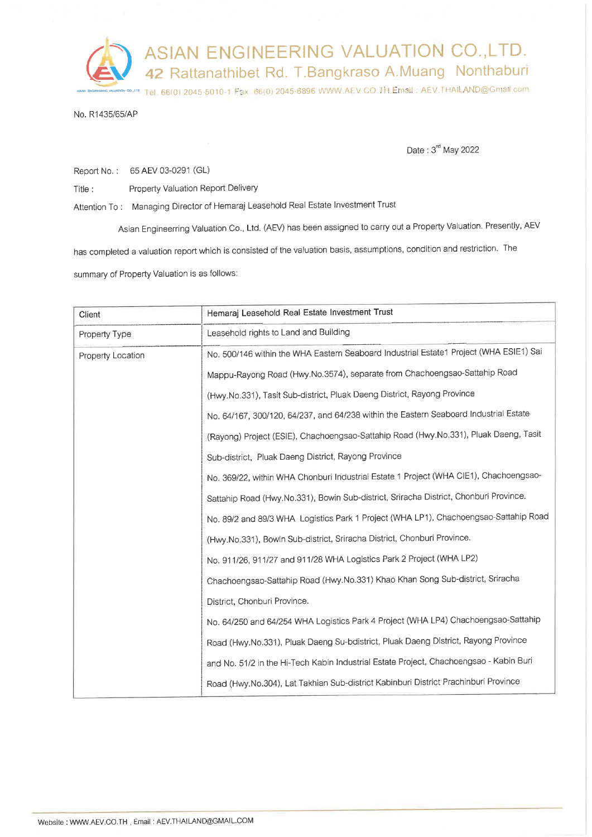ASIAN ENGINEERING VALUATION CO., LTD. 42 Rattanathibet Rd. T.Bangkraso A.Muang Nonthaburi Tel. 66(0) 2045-5010-1 Fax: 66(0) 2045-6896 WWW.AEV.CO. TH,Email: AEV.THAILAND@Gmail.com

No. R1435/65/AP

Date: 3<sup>rd</sup> May 2022

Report No.: 65 AEV 03-0291 (GL)

Property Valuation Report Delivery Title:

Attention To: Managing Director of Hemaraj Leasehold Real Estate Investment Trust

Asian Engineerring Valuation Co., Ltd. (AEV) has been assigned to carry out a Property Valuation. Presently, AEV has completed a valuation report which is consisted of the valuation basis, assumptions, condition and restriction. The summary of Property Valuation is as follows:

| Client            | Hemaraj Leasehold Real Estate Investment Trust                                         |  |  |  |
|-------------------|----------------------------------------------------------------------------------------|--|--|--|
| Property Type     | Leasehold rights to Land and Building                                                  |  |  |  |
| Property Location | No. 500/146 within the WHA Eastern Seaboard Industrial Estate1 Project (WHA ESIE1) Sai |  |  |  |
|                   | Mappu-Rayong Road (Hwy.No.3574), separate from Chachoengsao-Sattahip Road              |  |  |  |
|                   | (Hwy.No.331), Tasit Sub-district, Pluak Daeng District, Rayong Province                |  |  |  |
|                   | No. 64/167, 300/120, 64/237, and 64/238 within the Eastern Seaboard Industrial Estate  |  |  |  |
|                   | (Rayong) Project (ESIE), Chachoengsao-Sattahip Road (Hwy.No.331), Pluak Daeng, Tasit   |  |  |  |
|                   | Sub-district, Pluak Daeng District, Rayong Province                                    |  |  |  |
|                   | No. 369/22, within WHA Chonburi Industrial Estate 1 Project (WHA CIE1), Chachoengsao-  |  |  |  |
|                   | Sattahip Road (Hwy.No.331), Bowin Sub-district, Sriracha District, Chonburi Province.  |  |  |  |
|                   | No. 89/2 and 89/3 WHA Logistics Park 1 Project (WHA LP1), Chachoengsao-Sattahip Road   |  |  |  |
|                   | (Hwy.No.331), Bowin Sub-district, Sriracha District, Chonburi Province.                |  |  |  |
|                   | No. 911/26, 911/27 and 911/28 WHA Logistics Park 2 Project (WHA LP2)                   |  |  |  |
|                   | Chachoengsao-Sattahip Road (Hwy.No.331) Khao Khan Song Sub-district, Sriracha          |  |  |  |
|                   | District, Chonburi Province.                                                           |  |  |  |
|                   | No. 64/250 and 64/254 WHA Logistics Park 4 Project (WHA LP4) Chachoengsao-Sattahip     |  |  |  |
|                   | Road (Hwy.No.331), Pluak Daeng Su-bdistrict, Pluak Daeng District, Rayong Province     |  |  |  |
|                   | and No. 51/2 in the Hi-Tech Kabin Industrial Estate Project, Chachoengsao - Kabin Buri |  |  |  |
|                   | Road (Hwy.No.304), Lat Takhian Sub-district Kabinburi District Prachinburi Province    |  |  |  |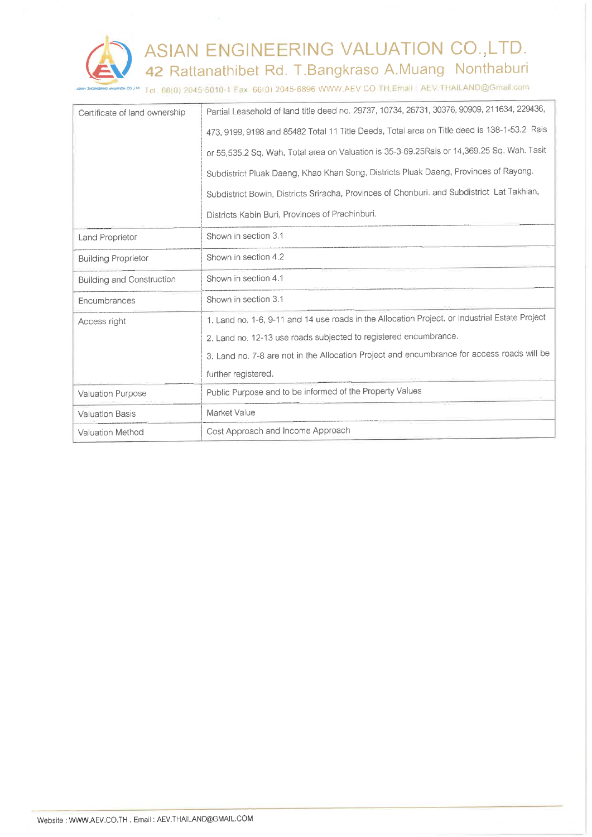

<sup>2,de</sup> Tel. 66(0) 2045-5010-1 Fax: 66(0) 2045-6896 WWW.AEV.CO.TH.Email: AEV.THAILAND@Gmail.com

| Certificate of land ownership    | Partial Leasehold of land title deed no. 29737, 10734, 26731, 30376, 90909, 211634, 229436,    |  |  |  |
|----------------------------------|------------------------------------------------------------------------------------------------|--|--|--|
|                                  | 473, 9199, 9198 and 85482 Total 11 Title Deeds, Total area on Title deed is 138-1-53.2 Rais    |  |  |  |
|                                  | or 55,535.2 Sq. Wah, Total area on Valuation is 35-3-69.25Rais or 14,369.25 Sq. Wah. Tasit     |  |  |  |
|                                  | Subdistrict Pluak Daeng, Khao Khan Song, Districts Pluak Daeng, Provinces of Rayong.           |  |  |  |
|                                  | Subdistrict Bowin, Districts Sriracha, Provinces of Chonburi. and Subdistrict Lat Takhian,     |  |  |  |
|                                  | Districts Kabin Buri, Provinces of Prachinburi.                                                |  |  |  |
| <b>Land Proprietor</b>           | Shown in section 3.1                                                                           |  |  |  |
| <b>Building Proprietor</b>       | Shown in section 4.2                                                                           |  |  |  |
| <b>Building and Construction</b> | Shown in section 4.1                                                                           |  |  |  |
| Encumbrances                     | Shown in section 3.1                                                                           |  |  |  |
| Access right                     | 1. Land no. 1-6, 9-11 and 14 use roads in the Allocation Project. or Industrial Estate Project |  |  |  |
|                                  | 2. Land no. 12-13 use roads subjected to registered encumbrance.                               |  |  |  |
|                                  | 3. Land no. 7-8 are not in the Allocation Project and encumbrance for access roads will be     |  |  |  |
|                                  | further registered.                                                                            |  |  |  |
| Valuation Purpose                | Public Purpose and to be informed of the Property Values                                       |  |  |  |
| <b>Valuation Basis</b>           | Market Value                                                                                   |  |  |  |
| Valuation Method                 | Cost Approach and Income Approach                                                              |  |  |  |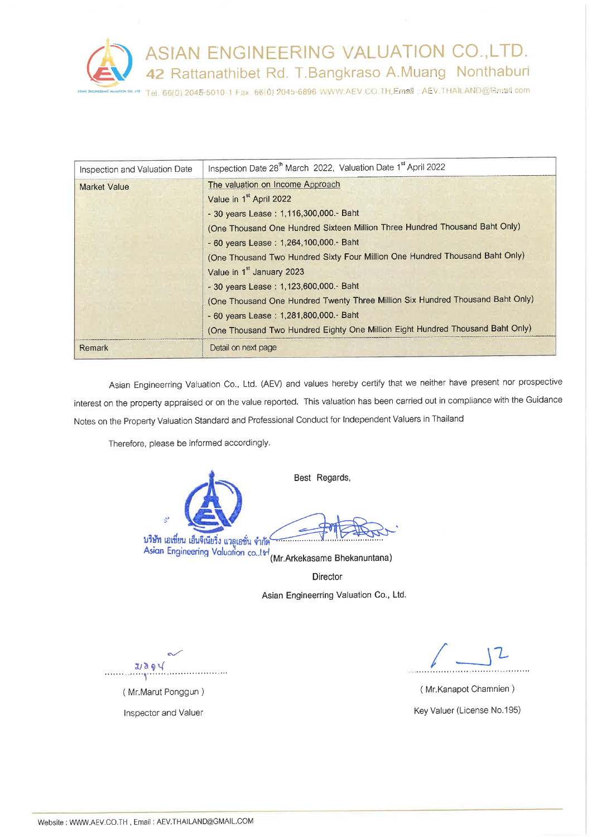

| Inspection and Valuation Date | Inspection Date 28 <sup>th</sup> March 2022, Valuation Date 1 <sup>st</sup> April 2022                                                                                                                                                                                                                                                                                                                                                                                                                                                                                                                                        |  |  |  |
|-------------------------------|-------------------------------------------------------------------------------------------------------------------------------------------------------------------------------------------------------------------------------------------------------------------------------------------------------------------------------------------------------------------------------------------------------------------------------------------------------------------------------------------------------------------------------------------------------------------------------------------------------------------------------|--|--|--|
| <b>Market Value</b>           | The valuation on Income Approach<br>Value in 1 <sup>st</sup> April 2022<br>- 30 years Lease: 1,116,300,000 .- Baht<br>(One Thousand One Hundred Sixteen Million Three Hundred Thousand Baht Only)<br>- 60 years Lease: 1,264,100,000. - Baht<br>(One Thousand Two Hundred Sixty Four Million One Hundred Thousand Baht Only)<br>Value in 1 <sup>st</sup> January 2023<br>- 30 years Lease: 1,123,600,000.- Baht<br>(One Thousand One Hundred Twenty Three Million Six Hundred Thousand Baht Only)<br>- 60 years Lease: 1,281,800,000.- Baht<br>(One Thousand Two Hundred Eighty One Million Eight Hundred Thousand Baht Only) |  |  |  |
| Remark                        | Detail on next page                                                                                                                                                                                                                                                                                                                                                                                                                                                                                                                                                                                                           |  |  |  |

Asian Engineerring Valuation Co., Ltd. (AEV) and values hereby certify that we neither have present nor prospective interest on the property appraised or on the value reported. This valuation has been carried out in compliance with the Guidance Notes on the Property Valuation Standard and Professional Conduct for Independent Valuers in Thailand

Therefore, please be informed accordingly.

Best Regards, บริษัท เอเชียน เอ็นจีเนียริ้ง แวลูเอชั่น จำกัด<br>Asian Engineering Valuation co..! of (Mr.Arkekasame Bhekanuntana)

Director Asian Engineerring Valuation Co., Ltd.

 $USQ$ 

(Mr.Marut Ponggun) Inspector and Valuer

 $\mathcal{L}$ 

(Mr.Kanapot Chamnien) Key Valuer (License No.195)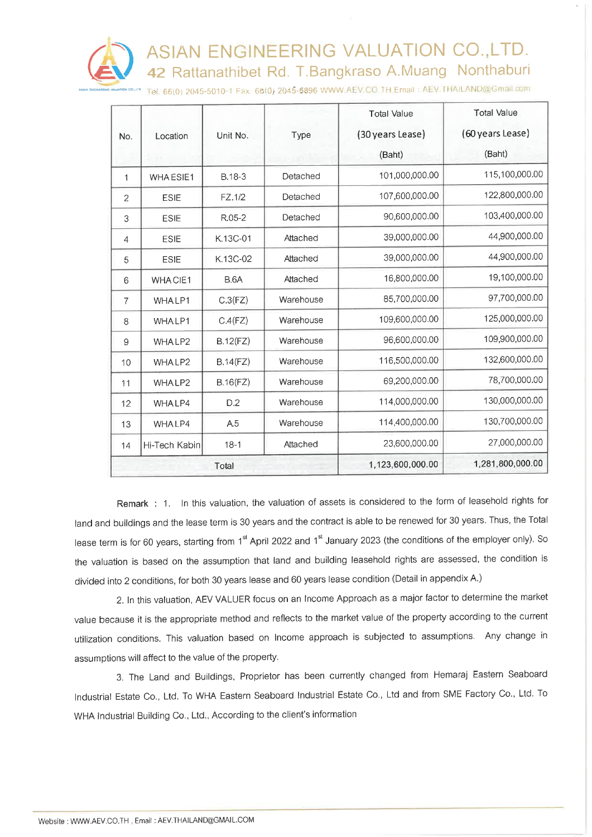ASIAN ENGINEERING VALUATION CO., LTD. 42 Rattanathibet Rd. T.Bangkraso A.Muang Nonthaburi



Tel. 66(0) 2045-5010-1 Fax 66(0) 2045-6896 WWW.AEV.CO.TH Email: AEV.THAILAND@Gmail.com

|                |               |             |           | <b>Total Value</b>               | <b>Total Value</b> |  |
|----------------|---------------|-------------|-----------|----------------------------------|--------------------|--|
| No.            | Location      | Unit No.    | Type      | (30 years Lease)                 | (60 years Lease)   |  |
|                |               |             |           | (Baht)                           | (Baht)             |  |
| 1              | WHA ESIE1     | B.18-3      | Detached  | 101,000,000.00                   | 115,100,000.00     |  |
| 2              | <b>ESIE</b>   | FZ.1/2      | Detached  | 107,600,000.00                   | 122,800,000.00     |  |
| 3              | <b>ESIE</b>   | R.05-2      | Detached  | 90,600,000.00                    | 103,400,000.00     |  |
| 4              | <b>ESIE</b>   | K.13C-01    | Attached  | 39,000,000.00                    | 44,900,000.00      |  |
| 5              | <b>ESIE</b>   | K.13C-02    | Attached  | 39,000,000.00                    | 44,900,000.00      |  |
| 6              | WHACIE1       | <b>B.6A</b> | Attached  | 16,800,000.00                    | 19,100,000.00      |  |
| $\overline{7}$ | WHALP1        | C.3(FZ)     | Warehouse | 85,700,000.00                    | 97,700,000.00      |  |
| 8              | WHALP1        | C.4(FZ)     | Warehouse | 109,600,000.00                   | 125,000,000.00     |  |
| 9              | WHALP2        | B.12(FZ)    | Warehouse | 96,600,000.00                    | 109,900,000.00     |  |
| 10             | WHALP2        | B.14(FZ)    | Warehouse | 116,500,000.00                   | 132,600,000.00     |  |
| 11             | WHALP2        | B.16(FZ)    | Warehouse | 69,200,000.00                    | 78,700,000.00      |  |
| 12             | WHALP4        | D.2         | Warehouse | 114,000,000.00                   | 130,000,000.00     |  |
| 13             | WHALP4        | A.5         | Warehouse | 130,700,000.00<br>114,400,000.00 |                    |  |
| 14             | Hi-Tech Kabin | $18-1$      | Attached  | 23,600,000.00                    | 27,000,000.00      |  |
|                | Total         |             |           | 1,123,600,000.00                 | 1,281,800,000.00   |  |

Remark : 1. In this valuation, the valuation of assets is considered to the form of leasehold rights for land and buildings and the lease term is 30 years and the contract is able to be renewed for 30 years. Thus, the Total lease term is for 60 years, starting from 1<sup>st</sup> April 2022 and 1<sup>st</sup> January 2023 (the conditions of the employer only). So the valuation is based on the assumption that land and building leasehold rights are assessed, the condition is divided into 2 conditions, for both 30 years lease and 60 years lease condition (Detail in appendix A.)

2. In this valuation, AEV VALUER focus on an Income Approach as a major factor to determine the market value because it is the appropriate method and reflects to the market value of the property according to the current utilization conditions. This valuation based on Income approach is subjected to assumptions. Any change in assumptions will affect to the value of the property.

3. The Land and Buildings, Proprietor has been currently changed from Hemaraj Eastern Seaboard Industrial Estate Co., Ltd. To WHA Eastern Seaboard Industrial Estate Co., Ltd and from SME Factory Co., Ltd. To WHA Industrial Building Co., Ltd., According to the client's information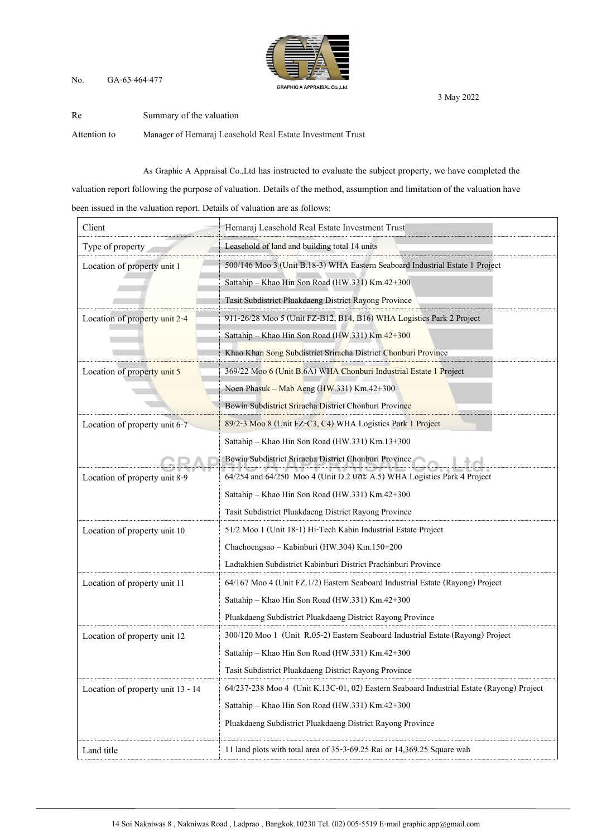## No. GA-65-464-477



Re Summary of the valuation Attention to Manager of Hemaraj Leasehold Real Estate Investment Trust

As Graphic A Appraisal Co.,Ltd has instructed to evaluate the subject property, we have completed the

valuation report following the purpose of valuation. Details of the method, assumption and limitation of the valuation have

been issued in the valuation report. Details of valuation are as follows:

| Client                            | Hemaraj Leasehold Real Estate Investment Trust                                           |  |  |  |
|-----------------------------------|------------------------------------------------------------------------------------------|--|--|--|
| Type of property                  | Leasehold of land and building total 14 units                                            |  |  |  |
| Location of property unit 1       | 500/146 Moo 3 (Unit B.18-3) WHA Eastern Seaboard Industrial Estate 1 Project             |  |  |  |
|                                   | Sattahip - Khao Hin Son Road (HW.331) Km.42+300                                          |  |  |  |
|                                   | Tasit Subdistrict Pluakdaeng District Rayong Province                                    |  |  |  |
| Location of property unit 2-4     | 911-26/28 Moo 5 (Unit FZ-B12, B14, B16) WHA Logistics Park 2 Project                     |  |  |  |
|                                   | Sattahip - Khao Hin Son Road (HW.331) Km.42+300                                          |  |  |  |
|                                   | Khao Khan Song Subdistrict Sriracha District Chonburi Province                           |  |  |  |
| Location of property unit 5       | 369/22 Moo 6 (Unit B.6A) WHA Chonburi Industrial Estate 1 Project                        |  |  |  |
|                                   | Noen Phasuk – Mab Aeng (HW.331) Km.42+300                                                |  |  |  |
|                                   | Bowin Subdistrict Sriracha District Chonburi Province                                    |  |  |  |
| Location of property unit 6-7     | 89/2-3 Moo 8 (Unit FZ-C3, C4) WHA Logistics Park 1 Project                               |  |  |  |
|                                   | Sattahip - Khao Hin Son Road (HW.331) Km.13+300                                          |  |  |  |
|                                   | Bowin Subdistrict Sriracha District Chonburi Province                                    |  |  |  |
| Location of property unit 8-9     | 64/254 and 64/250 Moo 4 (Unit D.2 110% A.5) WHA Logistics Park 4 Project                 |  |  |  |
|                                   | Sattahip - Khao Hin Son Road (HW.331) Km.42+300                                          |  |  |  |
|                                   | Tasit Subdistrict Pluakdaeng District Rayong Province                                    |  |  |  |
| Location of property unit 10      | 51/2 Moo 1 (Unit 18-1) Hi-Tech Kabin Industrial Estate Project                           |  |  |  |
|                                   | Chachoengsao - Kabinburi (HW.304) Km.150+200                                             |  |  |  |
|                                   | Ladtakhien Subdistrict Kabinburi District Prachinburi Province                           |  |  |  |
| Location of property unit 11      | 64/167 Moo 4 (Unit FZ.1/2) Eastern Seaboard Industrial Estate (Rayong) Project           |  |  |  |
|                                   | Sattahip - Khao Hin Son Road (HW.331) Km.42+300                                          |  |  |  |
|                                   | Pluakdaeng Subdistrict Pluakdaeng District Rayong Province                               |  |  |  |
| Location of property unit 12      | 300/120 Moo 1 (Unit R.05-2) Eastern Seaboard Industrial Estate (Rayong) Project          |  |  |  |
|                                   | Sattahip - Khao Hin Son Road (HW.331) Km.42+300                                          |  |  |  |
|                                   | Tasit Subdistrict Pluakdaeng District Rayong Province                                    |  |  |  |
| Location of property unit 13 - 14 | 64/237-238 Moo 4 (Unit K.13C-01, 02) Eastern Seaboard Industrial Estate (Rayong) Project |  |  |  |
|                                   | Sattahip - Khao Hin Son Road (HW.331) Km.42+300                                          |  |  |  |
|                                   | Pluakdaeng Subdistrict Pluakdaeng District Rayong Province                               |  |  |  |
| Land title                        | 11 land plots with total area of 35-3-69.25 Rai or 14,369.25 Square wah                  |  |  |  |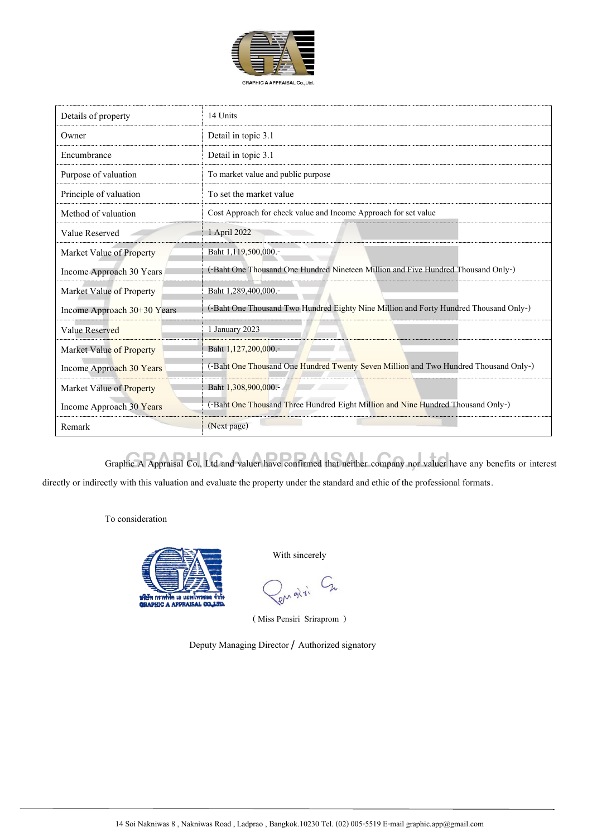

| Details of property                                                                                              | 14 Units                                                                              |  |  |  |
|------------------------------------------------------------------------------------------------------------------|---------------------------------------------------------------------------------------|--|--|--|
| Owner                                                                                                            | Detail in topic 3.1                                                                   |  |  |  |
| Encumbrance                                                                                                      | Detail in topic 3.1                                                                   |  |  |  |
| Purpose of valuation                                                                                             | To market value and public purpose                                                    |  |  |  |
| Principle of valuation                                                                                           | To set the market value                                                               |  |  |  |
| Method of valuation                                                                                              | Cost Approach for check value and Income Approach for set value                       |  |  |  |
| Value Reserved                                                                                                   | 1 April 2022                                                                          |  |  |  |
| Market Value of Property                                                                                         | Baht 1,119,500,000.-                                                                  |  |  |  |
| Income Approach 30 Years                                                                                         | (-Baht One Thousand One Hundred Nineteen Million and Five Hundred Thousand Only-)     |  |  |  |
| Market Value of Property                                                                                         | Baht 1,289,400,000 .-                                                                 |  |  |  |
| Income Approach 30+30 Years                                                                                      | (-Baht One Thousand Two Hundred Eighty Nine Million and Forty Hundred Thousand Only-) |  |  |  |
| Value Reserved                                                                                                   | 1 January 2023                                                                        |  |  |  |
| Market Value of Property                                                                                         | Baht 1,127,200,000.-                                                                  |  |  |  |
| (-Baht One Thousand One Hundred Twenty Seven Million and Two Hundred Thousand Only-)<br>Income Approach 30 Years |                                                                                       |  |  |  |
| Market Value of Property                                                                                         | Baht 1,308,900,000.-                                                                  |  |  |  |
| Income Approach 30 Years                                                                                         | (-Baht One Thousand Three Hundred Eight Million and Nine Hundred Thousand Only-)      |  |  |  |
| Remark                                                                                                           | (Next page)                                                                           |  |  |  |

Graphic A Appraisal Co., Ltd and valuer have confirmed that neither company nor valuer have any benefits or interest

directly or indirectly with this valuation and evaluate the property under the standard and ethic of the professional formats.

To consideration



With sincerely

Pengisi Cn

( Miss Pensiri Sriraprom )

Deputy Managing Director / Authorized signatory